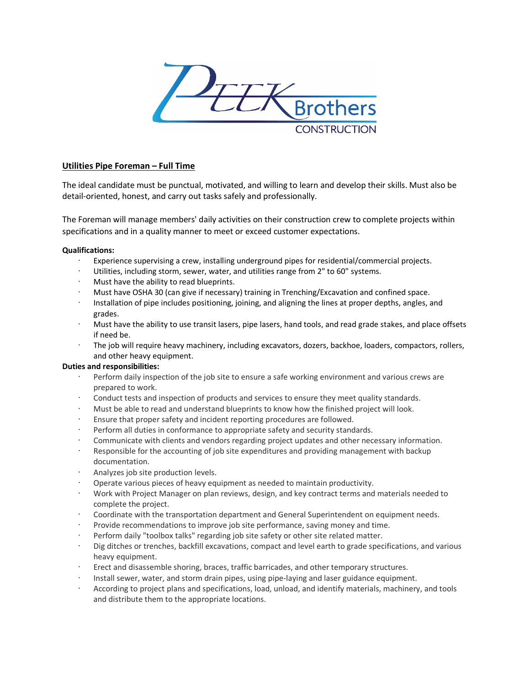

# **Utilities Pipe Foreman – Full Time**

The ideal candidate must be punctual, motivated, and willing to learn and develop their skills. Must also be detail-oriented, honest, and carry out tasks safely and professionally.

The Foreman will manage members' daily activities on their construction crew to complete projects within specifications and in a quality manner to meet or exceed customer expectations.

## **Qualifications:**

- Experience supervising a crew, installing underground pipes for residential/commercial projects.
- Utilities, including storm, sewer, water, and utilities range from 2" to 60" systems.
- Must have the ability to read blueprints.
- · Must have OSHA 30 (can give if necessary) training in Trenching/Excavation and confined space.
- · Installation of pipe includes positioning, joining, and aligning the lines at proper depths, angles, and grades.
- · Must have the ability to use transit lasers, pipe lasers, hand tools, and read grade stakes, and place offsets if need be.
- · The job will require heavy machinery, including excavators, dozers, backhoe, loaders, compactors, rollers, and other heavy equipment.

## **Duties and responsibilities:**

- Perform daily inspection of the job site to ensure a safe working environment and various crews are prepared to work.
- Conduct tests and inspection of products and services to ensure they meet quality standards.
- · Must be able to read and understand blueprints to know how the finished project will look.
- Ensure that proper safety and incident reporting procedures are followed.
- Perform all duties in conformance to appropriate safety and security standards.
- · Communicate with clients and vendors regarding project updates and other necessary information.
- · Responsible for the accounting of job site expenditures and providing management with backup documentation.
- · Analyzes job site production levels.
- · Operate various pieces of heavy equipment as needed to maintain productivity.
- · Work with Project Manager on plan reviews, design, and key contract terms and materials needed to complete the project.
- · Coordinate with the transportation department and General Superintendent on equipment needs.
- Provide recommendations to improve job site performance, saving money and time.
- Perform daily "toolbox talks" regarding job site safety or other site related matter.
- · Dig ditches or trenches, backfill excavations, compact and level earth to grade specifications, and various heavy equipment.
- Erect and disassemble shoring, braces, traffic barricades, and other temporary structures.
- · Install sewer, water, and storm drain pipes, using pipe-laying and laser guidance equipment.
- · According to project plans and specifications, load, unload, and identify materials, machinery, and tools and distribute them to the appropriate locations.